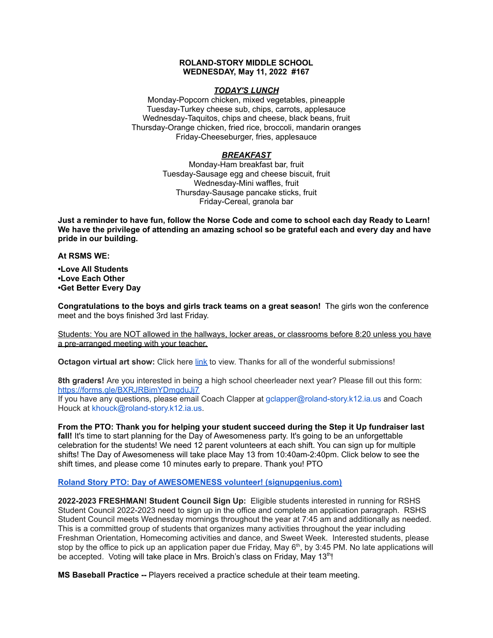## **ROLAND-STORY MIDDLE SCHOOL WEDNESDAY, May 11, 2022 #167**

## *TODAY'S LUNCH*

Monday-Popcorn chicken, mixed vegetables, pineapple Tuesday-Turkey cheese sub, chips, carrots, applesauce Wednesday-Taquitos, chips and cheese, black beans, fruit Thursday-Orange chicken, fried rice, broccoli, mandarin oranges Friday-Cheeseburger, fries, applesauce

# *BREAKFAST*

Monday-Ham breakfast bar, fruit Tuesday-Sausage egg and cheese biscuit, fruit Wednesday-Mini waffles, fruit Thursday-Sausage pancake sticks, fruit Friday-Cereal, granola bar

Just a reminder to have fun, follow the Norse Code and come to school each day Ready to Learn! **We have the privilege of attending an amazing school so be grateful each and every day and have pride in our building.**

**At RSMS WE:**

**•Love All Students •Love Each Other •Get Better Every Day**

**Congratulations to the boys and girls track teams on a great season!** The girls won the conference meet and the boys finished 3rd last Friday.

Students: You are NOT allowed in the hallways, locker areas, or classrooms before 8:20 unless you have a pre-arranged meeting with your teacher.

**Octagon virtual art show:** Click here [link](https://www.youtube.com/watch?v=l_N0KeDsDNI) to view. Thanks for all of the wonderful submissions!

**8th graders!** Are you interested in being a high school cheerleader next year? Please fill out this form[:](https://forms.gle/BXRJRBimYDmgduJj7) <https://forms.gle/BXRJRBimYDmgduJj7>

If you have any questions, please email Coach Clapper at gclapper@roland-story.k12.ia.us and Coach Houck at khouck@roland-story.k12.ia.us.

**From the PTO: Thank you for helping your student succeed during the Step it Up fundraiser last fall!** It's time to start planning for the Day of Awesomeness party. It's going to be an unforgettable celebration for the students! We need 12 parent volunteers at each shift. You can sign up for multiple shifts! The Day of Awesomeness will take place May 13 from 10:40am-2:40pm. Click below to see the shift times, and please come 10 minutes early to prepare. Thank you! PTO

## **Roland Story PTO: Day of AWESOMENESS volunteer! [\(signupgenius.com\)](https://www.signupgenius.com/go/5080f48afab2ba5f94-dayofawesomeness)**

**2022-2023 FRESHMAN! Student Council Sign Up:** Eligible students interested in running for RSHS Student Council 2022-2023 need to sign up in the office and complete an application paragraph. RSHS Student Council meets Wednesday mornings throughout the year at 7:45 am and additionally as needed. This is a committed group of students that organizes many activities throughout the year including Freshman Orientation, Homecoming activities and dance, and Sweet Week. Interested students, please stop by the office to pick up an application paper due Friday, May  $6<sup>th</sup>$ , by 3:45 PM. No late applications will be accepted. Voting will take place in Mrs. Broich's class on Friday, May 13<sup>th</sup>!

**MS Baseball Practice --** Players received a practice schedule at their team meeting.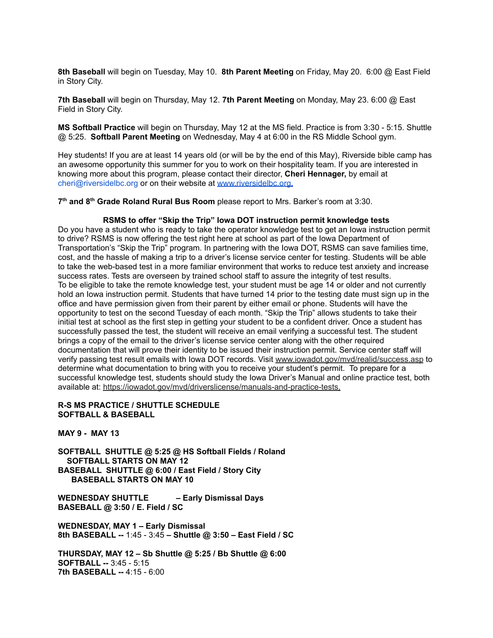**8th Baseball** will begin on Tuesday, May 10. **8th Parent Meeting** on Friday, May 20. 6:00 @ East Field in Story City.

**7th Baseball** will begin on Thursday, May 12. **7th Parent Meeting** on Monday, May 23. 6:00 @ East Field in Story City.

**MS Softball Practice** will begin on Thursday, May 12 at the MS field. Practice is from 3:30 - 5:15. Shuttle @ 5:25. **Softball Parent Meeting** on Wednesday, May 4 at 6:00 in the RS Middle School gym.

Hey students! If you are at least 14 years old (or will be by the end of this May), Riverside bible camp has an awesome opportunity this summer for you to work on their hospitality team. If you are interested in knowing more about this program, please contact their director, **Cheri Hennager,** by email at cheri@riversidelbc.org or on their website at [www.riversidelbc.org.](http://www.riversidelbc.org/)

**7 th and 8 th Grade Roland Rural Bus Room** please report to Mrs. Barker's room at 3:30.

### **RSMS to offer "Skip the Trip" Iowa DOT instruction permit knowledge tests**

Do you have a student who is ready to take the operator knowledge test to get an Iowa instruction permit to drive? RSMS is now offering the test right here at school as part of the Iowa Department of Transportation's "Skip the Trip" program. In partnering with the Iowa DOT, RSMS can save families time, cost, and the hassle of making a trip to a driver's license service center for testing. Students will be able to take the web-based test in a more familiar environment that works to reduce test anxiety and increase success rates. Tests are overseen by trained school staff to assure the integrity of test results. To be eligible to take the remote knowledge test, your student must be age 14 or older and not currently hold an Iowa instruction permit. Students that have turned 14 prior to the testing date must sign up in the office and have permission given from their parent by either email or phone. Students will have the opportunity to test on the second Tuesday of each month. "Skip the Trip" allows students to take their initial test at school as the first step in getting your student to be a confident driver. Once a student has successfully passed the test, the student will receive an email verifying a successful test. The student brings a copy of the email to the driver's license service center along with the other required documentation that will prove their identity to be issued their instruction permit. Service center staff will verify passing test result emails with Iowa DOT records. Visit [www.iowadot.gov/mvd/realid/success.asp](http://www.iowadot.gov/mvd/realid/success.asp) to determine what documentation to bring with you to receive your student's permit. To prepare for a successful knowledge test, students should study the Iowa Driver's Manual and online practice test, both available at: <https://iowadot.gov/mvd/driverslicense/manuals-and-practice-tests>.

### **R-S MS PRACTICE / SHUTTLE SCHEDULE SOFTBALL & BASEBALL**

**MAY 9 - MAY 13**

**SOFTBALL SHUTTLE @ 5:25 @ HS Softball Fields / Roland SOFTBALL STARTS ON MAY 12 BASEBALL SHUTTLE @ 6:00 / East Field / Story City BASEBALL STARTS ON MAY 10**

**WEDNESDAY SHUTTLE – Early Dismissal Days BASEBALL @ 3:50 / E. Field / SC**

**WEDNESDAY, MAY 1 – Early Dismissal 8th BASEBALL --** 1:45 - 3:45 **– Shuttle @ 3:50 – East Field / SC**

**THURSDAY, MAY 12 – Sb Shuttle @ 5:25 / Bb Shuttle @ 6:00 SOFTBALL --** 3:45 - 5:15 **7th BASEBALL --** 4:15 - 6:00